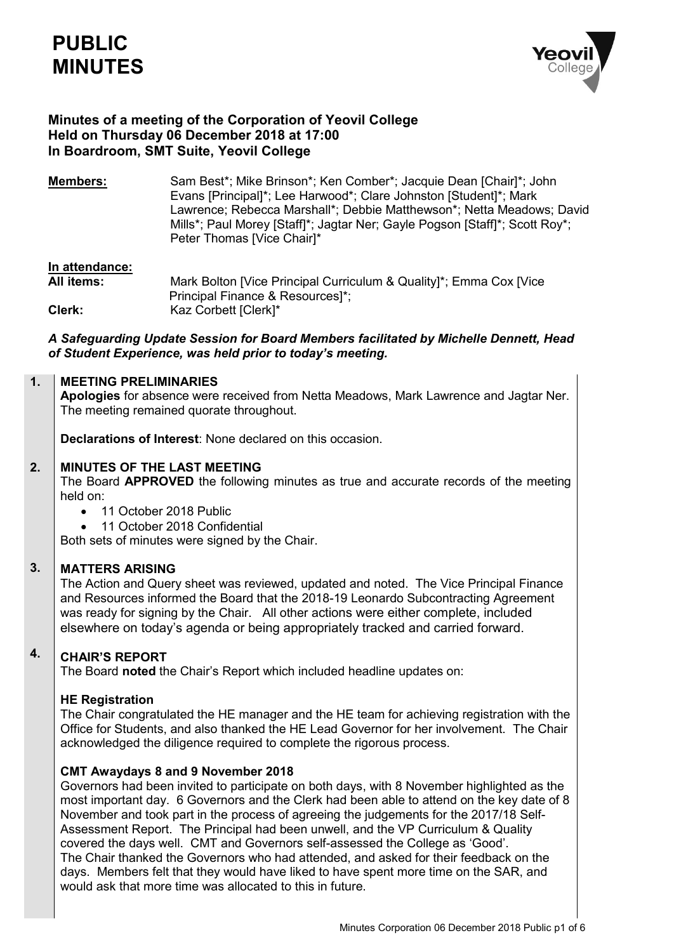

## **Minutes of a meeting of the Corporation of Yeovil College Held on Thursday 06 December 2018 at 17:00 In Boardroom, SMT Suite, Yeovil College**

**Members:** Sam Best\*; Mike Brinson\*; Ken Comber\*; Jacquie Dean [Chair]\*; John Evans [Principal]\*; Lee Harwood\*; Clare Johnston [Student]\*; Mark Lawrence; Rebecca Marshall\*; Debbie Matthewson\*; Netta Meadows; David Mills\*; Paul Morey [Staff]\*; Jagtar Ner; Gayle Pogson [Staff]\*; Scott Roy\*; Peter Thomas [Vice Chair]\*

# **In attendance:**

Mark Bolton [Vice Principal Curriculum & Quality]\*; Emma Cox [Vice Principal Finance & Resources]\*; **Clerk:** Kaz Corbett [Clerk]\*

### *A Safeguarding Update Session for Board Members facilitated by Michelle Dennett, Head of Student Experience, was held prior to today's meeting.*

#### **1. MEETING PRELIMINARIES**

**Apologies** for absence were received from Netta Meadows, Mark Lawrence and Jagtar Ner. The meeting remained quorate throughout.

**Declarations of Interest**: None declared on this occasion.

#### **2. MINUTES OF THE LAST MEETING**

The Board **APPROVED** the following minutes as true and accurate records of the meeting held on:

- 11 October 2018 Public
- 11 October 2018 Confidential

Both sets of minutes were signed by the Chair.

#### **3. MATTERS ARISING**

The Action and Query sheet was reviewed, updated and noted. The Vice Principal Finance and Resources informed the Board that the 2018-19 Leonardo Subcontracting Agreement was ready for signing by the Chair. All other actions were either complete, included elsewhere on today's agenda or being appropriately tracked and carried forward.

### **4. CHAIR'S REPORT**

The Board **noted** the Chair's Report which included headline updates on:

### **HE Registration**

The Chair congratulated the HE manager and the HE team for achieving registration with the Office for Students, and also thanked the HE Lead Governor for her involvement. The Chair acknowledged the diligence required to complete the rigorous process.

### **CMT Awaydays 8 and 9 November 2018**

Governors had been invited to participate on both days, with 8 November highlighted as the most important day. 6 Governors and the Clerk had been able to attend on the key date of 8 November and took part in the process of agreeing the judgements for the 2017/18 Self-Assessment Report. The Principal had been unwell, and the VP Curriculum & Quality covered the days well. CMT and Governors self-assessed the College as 'Good'. The Chair thanked the Governors who had attended, and asked for their feedback on the days. Members felt that they would have liked to have spent more time on the SAR, and would ask that more time was allocated to this in future.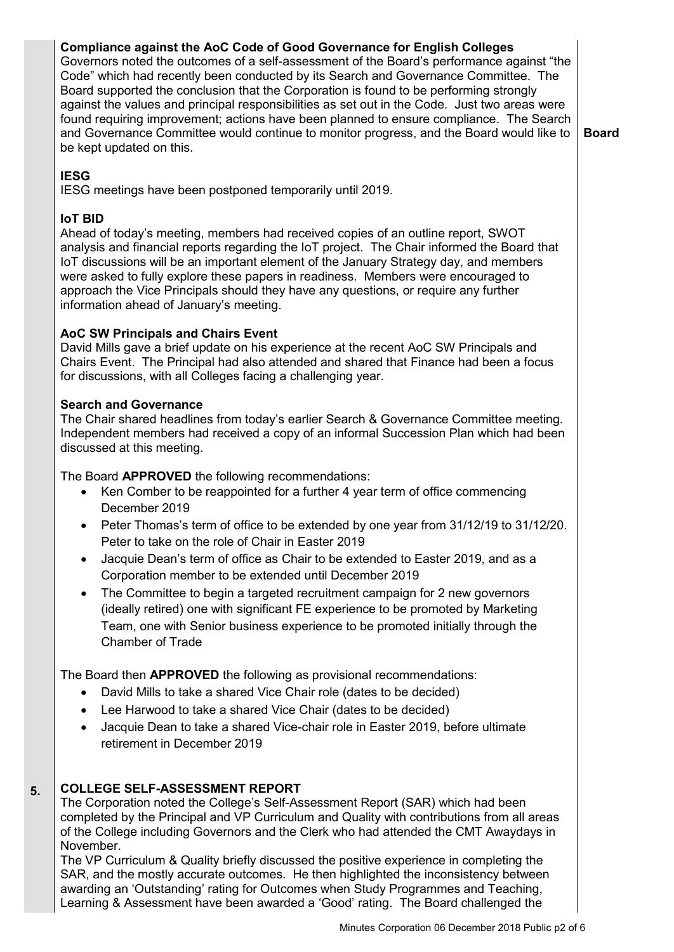# **Compliance against the AoC Code of Good Governance for English Colleges**

Governors noted the outcomes of a self-assessment of the Board's performance against "the Code" which had recently been conducted by its Search and Governance Committee. The Board supported the conclusion that the Corporation is found to be performing strongly against the values and principal responsibilities as set out in the Code. Just two areas were found requiring improvement; actions have been planned to ensure compliance. The Search and Governance Committee would continue to monitor progress, and the Board would like to be kept updated on this.

**Board**

# **IESG**

IESG meetings have been postponed temporarily until 2019.

# **IoT BID**

Ahead of today's meeting, members had received copies of an outline report, SWOT analysis and financial reports regarding the IoT project. The Chair informed the Board that IoT discussions will be an important element of the January Strategy day, and members were asked to fully explore these papers in readiness. Members were encouraged to approach the Vice Principals should they have any questions, or require any further information ahead of January's meeting.

# **AoC SW Principals and Chairs Event**

David Mills gave a brief update on his experience at the recent AoC SW Principals and Chairs Event. The Principal had also attended and shared that Finance had been a focus for discussions, with all Colleges facing a challenging year.

### **Search and Governance**

The Chair shared headlines from today's earlier Search & Governance Committee meeting. Independent members had received a copy of an informal Succession Plan which had been discussed at this meeting.

The Board **APPROVED** the following recommendations:

- Ken Comber to be reappointed for a further 4 year term of office commencing December 2019
- Peter Thomas's term of office to be extended by one year from 31/12/19 to 31/12/20. Peter to take on the role of Chair in Easter 2019
- Jacquie Dean's term of office as Chair to be extended to Easter 2019, and as a Corporation member to be extended until December 2019
- The Committee to begin a targeted recruitment campaign for 2 new governors (ideally retired) one with significant FE experience to be promoted by Marketing Team, one with Senior business experience to be promoted initially through the Chamber of Trade

The Board then **APPROVED** the following as provisional recommendations:

- David Mills to take a shared Vice Chair role (dates to be decided)
- Lee Harwood to take a shared Vice Chair (dates to be decided)
- Jacquie Dean to take a shared Vice-chair role in Easter 2019, before ultimate retirement in December 2019

### **5. COLLEGE SELF-ASSESSMENT REPORT**

The Corporation noted the College's Self-Assessment Report (SAR) which had been completed by the Principal and VP Curriculum and Quality with contributions from all areas of the College including Governors and the Clerk who had attended the CMT Awaydays in November.

The VP Curriculum & Quality briefly discussed the positive experience in completing the SAR, and the mostly accurate outcomes. He then highlighted the inconsistency between awarding an 'Outstanding' rating for Outcomes when Study Programmes and Teaching, Learning & Assessment have been awarded a 'Good' rating. The Board challenged the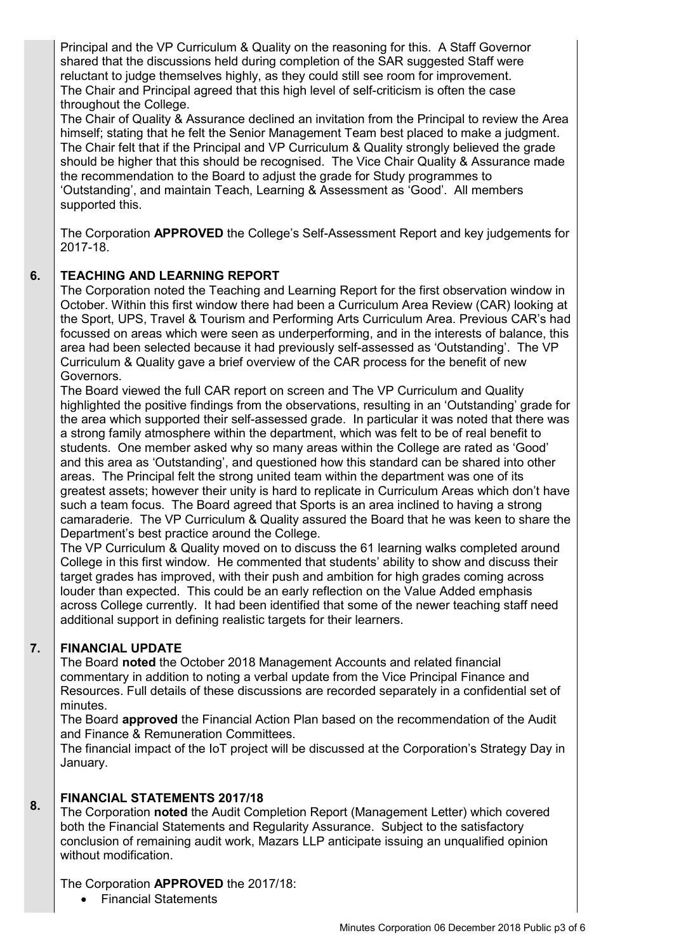Principal and the VP Curriculum & Quality on the reasoning for this. A Staff Governor shared that the discussions held during completion of the SAR suggested Staff were reluctant to judge themselves highly, as they could still see room for improvement. The Chair and Principal agreed that this high level of self-criticism is often the case throughout the College.

The Chair of Quality & Assurance declined an invitation from the Principal to review the Area himself; stating that he felt the Senior Management Team best placed to make a judgment. The Chair felt that if the Principal and VP Curriculum & Quality strongly believed the grade should be higher that this should be recognised. The Vice Chair Quality & Assurance made the recommendation to the Board to adjust the grade for Study programmes to 'Outstanding', and maintain Teach, Learning & Assessment as 'Good'. All members supported this.

The Corporation **APPROVED** the College's Self-Assessment Report and key judgements for 2017-18.

### **6. TEACHING AND LEARNING REPORT**

The Corporation noted the Teaching and Learning Report for the first observation window in October. Within this first window there had been a Curriculum Area Review (CAR) looking at the Sport, UPS, Travel & Tourism and Performing Arts Curriculum Area. Previous CAR's had focussed on areas which were seen as underperforming, and in the interests of balance, this area had been selected because it had previously self-assessed as 'Outstanding'. The VP Curriculum & Quality gave a brief overview of the CAR process for the benefit of new Governors.

The Board viewed the full CAR report on screen and The VP Curriculum and Quality highlighted the positive findings from the observations, resulting in an 'Outstanding' grade for the area which supported their self-assessed grade. In particular it was noted that there was a strong family atmosphere within the department, which was felt to be of real benefit to students. One member asked why so many areas within the College are rated as 'Good' and this area as 'Outstanding', and questioned how this standard can be shared into other areas. The Principal felt the strong united team within the department was one of its greatest assets; however their unity is hard to replicate in Curriculum Areas which don't have such a team focus. The Board agreed that Sports is an area inclined to having a strong camaraderie. The VP Curriculum & Quality assured the Board that he was keen to share the Department's best practice around the College.

The VP Curriculum & Quality moved on to discuss the 61 learning walks completed around College in this first window. He commented that students' ability to show and discuss their target grades has improved, with their push and ambition for high grades coming across louder than expected. This could be an early reflection on the Value Added emphasis across College currently. It had been identified that some of the newer teaching staff need additional support in defining realistic targets for their learners.

### **7. FINANCIAL UPDATE**

The Board **noted** the October 2018 Management Accounts and related financial commentary in addition to noting a verbal update from the Vice Principal Finance and Resources. Full details of these discussions are recorded separately in a confidential set of minutes.

The Board **approved** the Financial Action Plan based on the recommendation of the Audit and Finance & Remuneration Committees.

The financial impact of the IoT project will be discussed at the Corporation's Strategy Day in January.

### **8. FINANCIAL STATEMENTS 2017/18**

The Corporation **noted** the Audit Completion Report (Management Letter) which covered both the Financial Statements and Regularity Assurance. Subject to the satisfactory conclusion of remaining audit work, Mazars LLP anticipate issuing an unqualified opinion without modification.

# The Corporation **APPROVED** the 2017/18:

• Financial Statements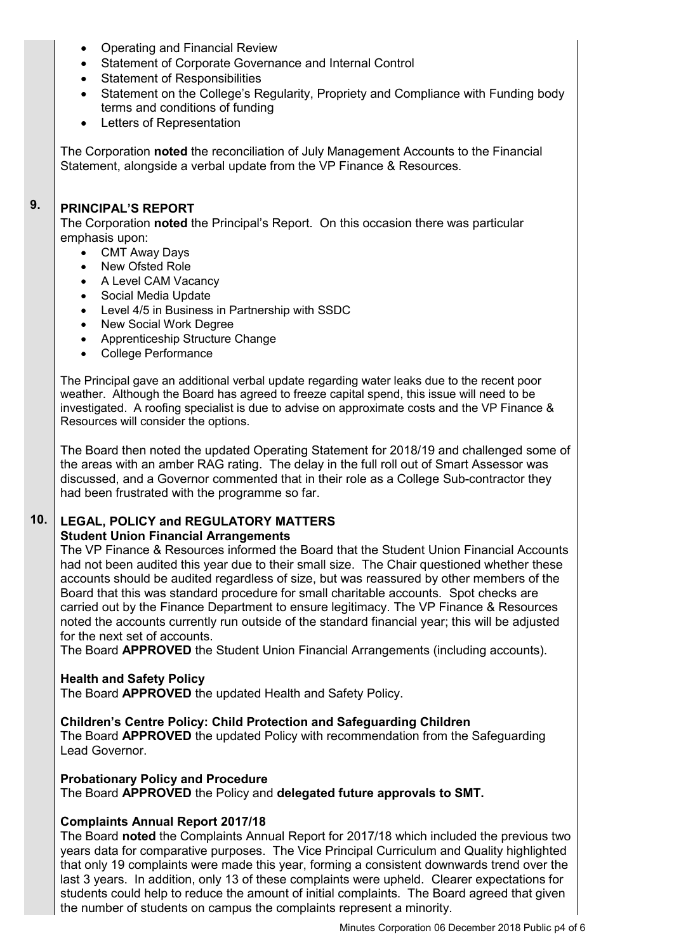- Operating and Financial Review
- Statement of Corporate Governance and Internal Control
- Statement of Responsibilities
- Statement on the College's Regularity, Propriety and Compliance with Funding body terms and conditions of funding
- Letters of Representation

The Corporation **noted** the reconciliation of July Management Accounts to the Financial Statement, alongside a verbal update from the VP Finance & Resources.

### **9. PRINCIPAL'S REPORT**

The Corporation **noted** the Principal's Report. On this occasion there was particular emphasis upon:

- CMT Away Days
- New Ofsted Role
- A Level CAM Vacancy
- Social Media Update
- Level 4/5 in Business in Partnership with SSDC
- New Social Work Degree
- Apprenticeship Structure Change
- College Performance

The Principal gave an additional verbal update regarding water leaks due to the recent poor weather. Although the Board has agreed to freeze capital spend, this issue will need to be investigated. A roofing specialist is due to advise on approximate costs and the VP Finance & Resources will consider the options.

The Board then noted the updated Operating Statement for 2018/19 and challenged some of the areas with an amber RAG rating. The delay in the full roll out of Smart Assessor was discussed, and a Governor commented that in their role as a College Sub-contractor they had been frustrated with the programme so far.

### **10. LEGAL, POLICY and REGULATORY MATTERS**

### **Student Union Financial Arrangements**

The VP Finance & Resources informed the Board that the Student Union Financial Accounts had not been audited this year due to their small size. The Chair questioned whether these accounts should be audited regardless of size, but was reassured by other members of the Board that this was standard procedure for small charitable accounts. Spot checks are carried out by the Finance Department to ensure legitimacy. The VP Finance & Resources noted the accounts currently run outside of the standard financial year; this will be adjusted for the next set of accounts.

The Board **APPROVED** the Student Union Financial Arrangements (including accounts).

### **Health and Safety Policy**

The Board **APPROVED** the updated Health and Safety Policy.

### **Children's Centre Policy: Child Protection and Safeguarding Children**

The Board **APPROVED** the updated Policy with recommendation from the Safeguarding Lead Governor.

### **Probationary Policy and Procedure**

The Board **APPROVED** the Policy and **delegated future approvals to SMT.**

# **Complaints Annual Report 2017/18**

The Board **noted** the Complaints Annual Report for 2017/18 which included the previous two years data for comparative purposes. The Vice Principal Curriculum and Quality highlighted that only 19 complaints were made this year, forming a consistent downwards trend over the last 3 years. In addition, only 13 of these complaints were upheld. Clearer expectations for students could help to reduce the amount of initial complaints. The Board agreed that given the number of students on campus the complaints represent a minority.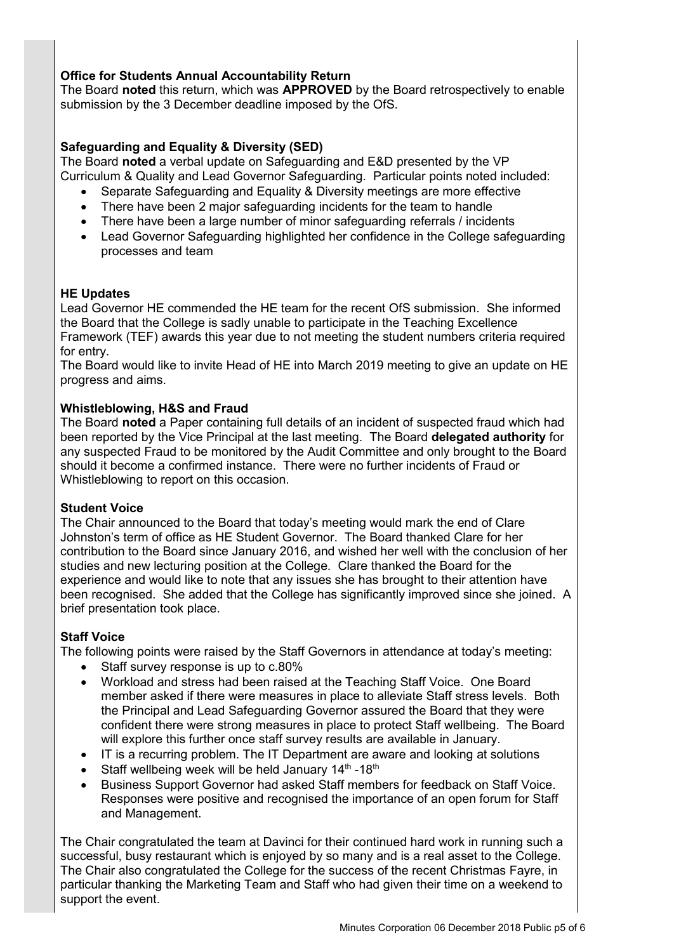## **Office for Students Annual Accountability Return**

The Board **noted** this return, which was **APPROVED** by the Board retrospectively to enable submission by the 3 December deadline imposed by the OfS.

## **Safeguarding and Equality & Diversity (SED)**

The Board **noted** a verbal update on Safeguarding and E&D presented by the VP Curriculum & Quality and Lead Governor Safeguarding. Particular points noted included:

- Separate Safeguarding and Equality & Diversity meetings are more effective
- There have been 2 major safeguarding incidents for the team to handle
- There have been a large number of minor safeguarding referrals / incidents
- Lead Governor Safeguarding highlighted her confidence in the College safeguarding processes and team

### **HE Updates**

Lead Governor HE commended the HE team for the recent OfS submission. She informed the Board that the College is sadly unable to participate in the Teaching Excellence Framework (TEF) awards this year due to not meeting the student numbers criteria required for entry.

The Board would like to invite Head of HE into March 2019 meeting to give an update on HE progress and aims.

### **Whistleblowing, H&S and Fraud**

The Board **noted** a Paper containing full details of an incident of suspected fraud which had been reported by the Vice Principal at the last meeting. The Board **delegated authority** for any suspected Fraud to be monitored by the Audit Committee and only brought to the Board should it become a confirmed instance. There were no further incidents of Fraud or Whistleblowing to report on this occasion.

### **Student Voice**

The Chair announced to the Board that today's meeting would mark the end of Clare Johnston's term of office as HE Student Governor. The Board thanked Clare for her contribution to the Board since January 2016, and wished her well with the conclusion of her studies and new lecturing position at the College. Clare thanked the Board for the experience and would like to note that any issues she has brought to their attention have been recognised. She added that the College has significantly improved since she joined. A brief presentation took place.

### **Staff Voice**

The following points were raised by the Staff Governors in attendance at today's meeting:

- Staff survey response is up to c.80%
- Workload and stress had been raised at the Teaching Staff Voice. One Board member asked if there were measures in place to alleviate Staff stress levels. Both the Principal and Lead Safeguarding Governor assured the Board that they were confident there were strong measures in place to protect Staff wellbeing. The Board will explore this further once staff survey results are available in January.
- IT is a recurring problem. The IT Department are aware and looking at solutions
- Staff wellbeing week will be held January  $14<sup>th</sup>$ -18<sup>th</sup>
- Business Support Governor had asked Staff members for feedback on Staff Voice. Responses were positive and recognised the importance of an open forum for Staff and Management.

The Chair congratulated the team at Davinci for their continued hard work in running such a successful, busy restaurant which is enjoyed by so many and is a real asset to the College. The Chair also congratulated the College for the success of the recent Christmas Fayre, in particular thanking the Marketing Team and Staff who had given their time on a weekend to support the event.